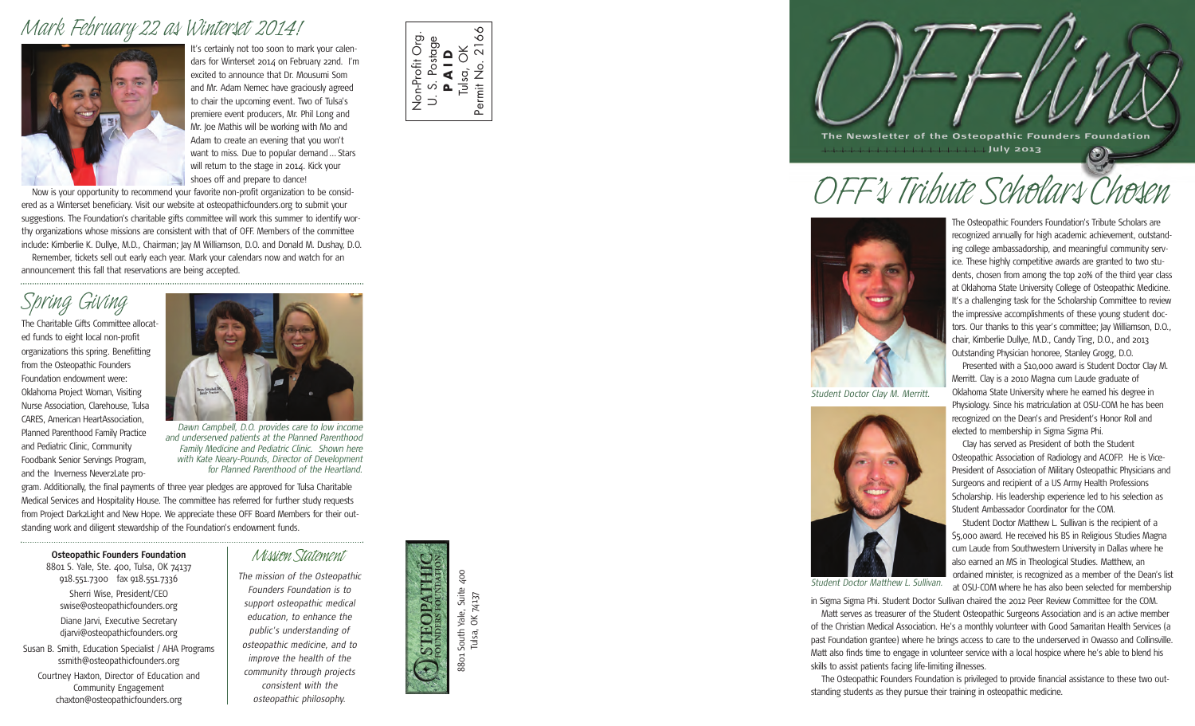### *Mark February 22 as Winterset 2014!*



It's certainly not too soon to mark your calendars for Winterset 2014 on February 22nd. I'm excited to announce that Dr. Mousumi Som and Mr. Adam Nemec have graciously agreed to chair the upcoming event. Two of Tulsa's premiere event producers, Mr. Phil Long and Mr. Joe Mathis will be working with Mo and Adam to create an evening that you won't want to miss. Due to popular demand... Stars will return to the stage in 2014. Kick your shoes off and prepare to dance!

Now is your opportunity to recommend your favorite non-profit organization to be considered as a Winterset beneficiary. Visit our website at osteopathicfounders.org to submit your suggestions. The Foundation's charitable gifts committee will work this summer to identify worthy organizations whose missions are consistent with that of OFF. Members of the committee include: Kimberlie K. Dullye, M.D., Chairman; Jay M Williamson, D.O. and Donald M. Dushay, D.O. Remember, tickets sell out early each year. Mark your calendars now and watch for an

announcement this fall that reservations are being accepted.

## *Spring Giving*

The Charitable Gifts Committee allocated funds to eight local non-profit organizations this spring. Benefitting from the Osteopathic Founders Foundation endowment were: Oklahoma Project Woman, Visiting Nurse Association, Clarehouse, Tulsa CARES, American HeartAssociation, Planned Parenthood Family Practice and Pediatric Clinic, Community Foodbank Senior Servings Program, and the Inverness Never2Late pro-



*Dawn Campbell, D.O. provides care to low income and underserved patients at the Planned Parenthood Family Medicine and Pediatric Clinic. Shown here with Kate Neary-Pounds, Director of Development for Planned Parenthood of the Heartland.*

gram. Additionally, the final payments of three year pledges are approved for Tulsa Charitable Medical Services and Hospitality House. The committee has referred for further study requests from Project Dark2Light and New Hope. We appreciate these OFF Board Members for their outstanding work and diligent stewardship of the Foundation's endowment funds.

**Osteopathic Founders Foundation** *Mission Statement* 

8801 S. Yale, Ste. 400, Tulsa, OK 74137 918.551.7300 fax 918.551.7336 Sherri Wise, President/CEO swise@osteopathicfounders.org Diane Jarvi, Executive Secretary djarvi@osteopathicfounders.org Susan B. Smith, Education Specialist / AHA Programs ssmith@osteopathicfounders.org Courtney Haxton, Director of Education and Community Engagement

chaxton@osteopathicfounders.org

*The mission of the Osteopathic Founders Foundation is to support osteopathic medical education, to enhance the public's understanding of osteopathic medicine, and to improve the health of the community through projects consistent with the osteopathic philosophy.*



Non-Profit Org. U. S. Postage **P A I D** Tulsa, OK Permit No. 2166

 $\overrightarrow{D}$ 

Permit No.

Non-Profit Org

Suite 400 8801 South Yale, Suite 400 Yale, Suite<br>OK 74137 Tulsa, OK 74137 South<sup>'</sup> Tulsa, 88<sub>o1</sub>



# *OFF's Tribute Scholars Chosen*



*Student Doctor Clay M. Merritt.*



*Student Doctor Matthew L. Sullivan.*

The Osteopathic Founders Foundation's Tribute Scholars are recognized annually for high academic achievement, outstanding college ambassadorship, and meaningful community service. These highly competitive awards are granted to two students, chosen from among the top 20% of the third year class at Oklahoma State University College of Osteopathic Medicine. It's a challenging task for the Scholarship Committee to review the impressive accomplishments of these young student doctors. Our thanks to this year's committee; Jay Williamson, D.O., chair, Kimberlie Dullye, M.D., Candy Ting, D.O., and 2013 Outstanding Physician honoree, Stanley Grogg, D.O.

Presented with a \$10,000 award is Student Doctor Clay M. Merritt. Clay is a 2010 Magna cum Laude graduate of Oklahoma State University where he earned his degree in Physiology. Since his matriculation at OSU-COM he has been recognized on the Dean's and President's Honor Roll and elected to membership in Sigma Sigma Phi.

Clay has served as President of both the Student Osteopathic Association of Radiology and ACOFP. He is Vice-President of Association of Military Osteopathic Physicians and Surgeons and recipient of a US Army Health Professions Scholarship. His leadership experience led to his selection as Student Ambassador Coordinator for the COM.

Student Doctor Matthew L. Sullivan is the recipient of a \$5,000 award. He received his BS in Religious Studies Magna cum Laude from Southwestern University in Dallas where he also earned an MS in Theological Studies. Matthew, an ordained minister, is recognized as a member of the Dean's list at OSU-COM where he has also been selected for membership

in Sigma Sigma Phi. Student Doctor Sullivan chaired the 2012 Peer Review Committee for the COM.

Matt serves as treasurer of the Student Osteopathic Surgeons Association and is an active member of the Christian Medical Association. He's a monthly volunteer with Good Samaritan Health Services (a past Foundation grantee) where he brings access to care to the underserved in Owasso and Collinsville. Matt also finds time to engage in volunteer service with a local hospice where he's able to blend his skills to assist patients facing life-limiting illnesses.

The Osteopathic Founders Foundation is privileged to provide financial assistance to these two outstanding students as they pursue their training in osteopathic medicine.